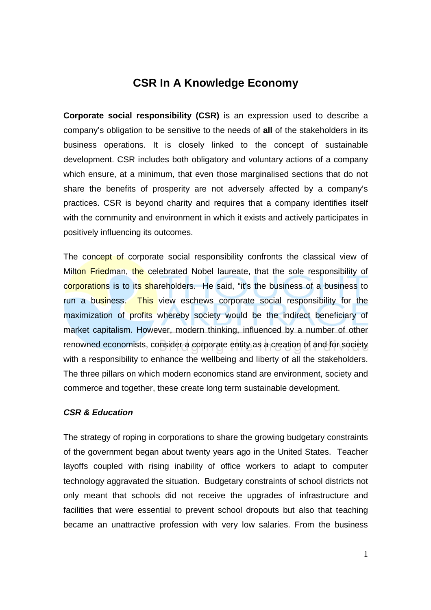# **CSR In A Knowledge Economy**

**Corporate social responsibility (CSR)** is an expression used to describe a company's obligation to be sensitive to the needs of **all** of the stakeholders in its business operations. It is closely linked to the concept of sustainable development. CSR includes both obligatory and voluntary actions of a company which ensure, at a minimum, that even those marginalised sections that do not share the benefits of prosperity are not adversely affected by a company's practices. CSR is beyond charity and requires that a company identifies itself with the community and environment in which it exists and actively participates in positively influencing its outcomes.

The concept of corporate social responsibility confronts the classical view of Milton Friedman, the celebrated Nobel laureate, that the sole responsibility of corporations is to its shareholders. He said, "it's the business of a business to run a business. This view eschews corporate social responsibility for the maximization of profits whereby society would be the indirect beneficiary of market capitalism. However, modern thinking, influenced by a number of other renowned economists, consider a corporate entity as a creation of and for society with a responsibility to enhance the wellbeing and liberty of all the stakeholders. The three pillars on which modern economics stand are environment, society and commerce and together, these create long term sustainable development.

## **CSR & Education**

The strategy of roping in corporations to share the growing budgetary constraints of the government began about twenty years ago in the United States. Teacher layoffs coupled with rising inability of office workers to adapt to computer technology aggravated the situation. Budgetary constraints of school districts not only meant that schools did not receive the upgrades of infrastructure and facilities that were essential to prevent school dropouts but also that teaching became an unattractive profession with very low salaries. From the business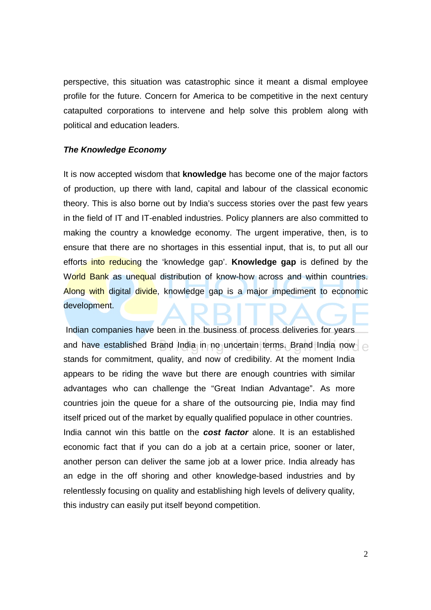perspective, this situation was catastrophic since it meant a dismal employee profile for the future. Concern for America to be competitive in the next century catapulted corporations to intervene and help solve this problem along with political and education leaders.

#### **The Knowledge Economy**

It is now accepted wisdom that **knowledge** has become one of the major factors of production, up there with land, capital and labour of the classical economic theory. This is also borne out by India's success stories over the past few years in the field of IT and IT-enabled industries. Policy planners are also committed to making the country a knowledge economy. The urgent imperative, then, is to ensure that there are no shortages in this essential input, that is, to put all our efforts into reducing the 'knowledge gap'. **Knowledge gap** is defined by the World Bank as unequal distribution of know-how across and within countries. Along with digital divide, knowledge gap is a major impediment to economic development.

 Indian companies have been in the business of process deliveries for years and have established Brand India in no uncertain terms. Brand India now stands for commitment, quality, and now of credibility. At the moment India appears to be riding the wave but there are enough countries with similar advantages who can challenge the "Great Indian Advantage". As more countries join the queue for a share of the outsourcing pie, India may find itself priced out of the market by equally qualified populace in other countries. India cannot win this battle on the **cost factor** alone. It is an established economic fact that if you can do a job at a certain price, sooner or later, another person can deliver the same job at a lower price. India already has an edge in the off shoring and other knowledge-based industries and by relentlessly focusing on quality and establishing high levels of delivery quality, this industry can easily put itself beyond competition.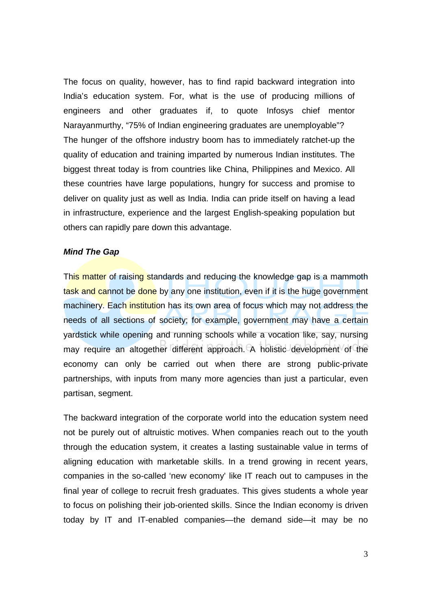The focus on quality, however, has to find rapid backward integration into India's education system. For, what is the use of producing millions of engineers and other graduates if, to quote Infosys chief mentor Narayanmurthy, "75% of Indian engineering graduates are unemployable"? The hunger of the offshore industry boom has to immediately ratchet-up the quality of education and training imparted by numerous Indian institutes. The biggest threat today is from countries like China, Philippines and Mexico. All these countries have large populations, hungry for success and promise to deliver on quality just as well as India. India can pride itself on having a lead in infrastructure, experience and the largest English-speaking population but others can rapidly pare down this advantage.

#### **Mind The Gap**

This matter of raising standards and reducing the knowledge gap is a mammoth task and cannot be done by any one institution, even if it is the huge government machinery. Each institution has its own area of focus which may not address the needs of all sections of society; for example, government may have a certain yardstick while opening and running schools while a vocation like, say, nursing may require an altogether different approach. A holistic development of the economy can only be carried out when there are strong public-private partnerships, with inputs from many more agencies than just a particular, even partisan, segment.

The backward integration of the corporate world into the education system need not be purely out of altruistic motives. When companies reach out to the youth through the education system, it creates a lasting sustainable value in terms of aligning education with marketable skills. In a trend growing in recent years, companies in the so-called 'new economy' like IT reach out to campuses in the final year of college to recruit fresh graduates. This gives students a whole year to focus on polishing their job-oriented skills. Since the Indian economy is driven today by IT and IT-enabled companies—the demand side—it may be no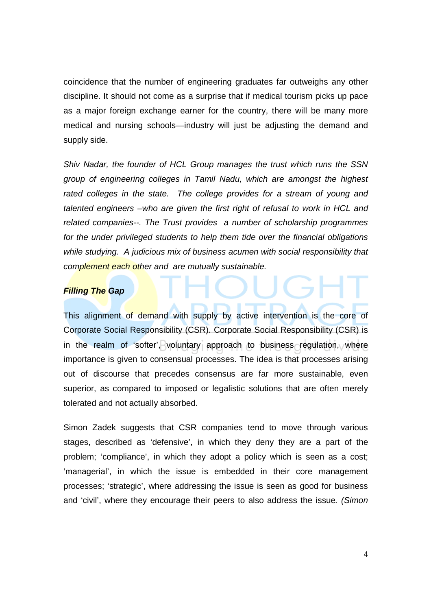coincidence that the number of engineering graduates far outweighs any other discipline. It should not come as a surprise that if medical tourism picks up pace as a major foreign exchange earner for the country, there will be many more medical and nursing schools—industry will just be adjusting the demand and supply side.

Shiv Nadar, the founder of HCL Group manages the trust which runs the SSN group of engineering colleges in Tamil Nadu, which are amongst the highest rated colleges in the state. The college provides for a stream of young and talented engineers –who are given the first right of refusal to work in HCL and related companies--. The Trust provides a number of scholarship programmes for the under privileged students to help them tide over the financial obligations while studying. A judicious mix of business acumen with social responsibility that complement each other and are mutually sustainable.

### **Filling The Gap**

This alignment of demand with supply by active intervention is the core of Corporate Social Responsibility (CSR). Corporate Social Responsibility (CSR) is in the realm of 'softer', voluntary approach to business regulation, where importance is given to consensual processes. The idea is that processes arising out of discourse that precedes consensus are far more sustainable, even superior, as compared to imposed or legalistic solutions that are often merely tolerated and not actually absorbed.

Simon Zadek suggests that CSR companies tend to move through various stages, described as 'defensive', in which they deny they are a part of the problem; 'compliance', in which they adopt a policy which is seen as a cost; 'managerial', in which the issue is embedded in their core management processes; 'strategic', where addressing the issue is seen as good for business and 'civil', where they encourage their peers to also address the issue. (Simon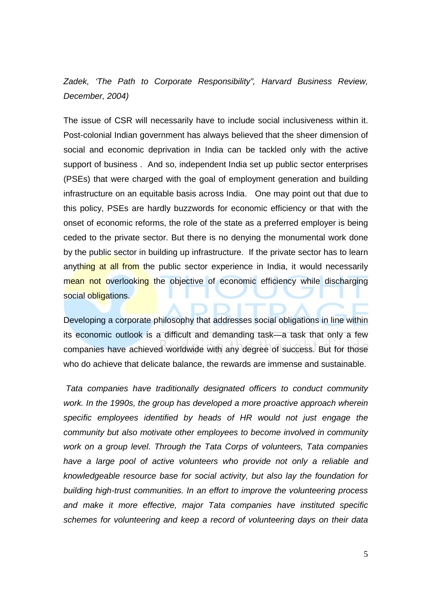Zadek, 'The Path to Corporate Responsibility", Harvard Business Review, December, 2004)

The issue of CSR will necessarily have to include social inclusiveness within it. Post-colonial Indian government has always believed that the sheer dimension of social and economic deprivation in India can be tackled only with the active support of business . And so, independent India set up public sector enterprises (PSEs) that were charged with the goal of employment generation and building infrastructure on an equitable basis across India. One may point out that due to this policy, PSEs are hardly buzzwords for economic efficiency or that with the onset of economic reforms, the role of the state as a preferred employer is being ceded to the private sector. But there is no denying the monumental work done by the public sector in building up infrastructure. If the private sector has to learn anything at all from the public sector experience in India, it would necessarily mean not overlooking the objective of economic efficiency while discharging social obligations.

Developing a corporate philosophy that addresses social obligations in line within its economic outlook is a difficult and demanding task—a task that only a few companies have achieved worldwide with any degree of success. But for those who do achieve that delicate balance, the rewards are immense and sustainable.

Tata companies have traditionally designated officers to conduct community work. In the 1990s, the group has developed a more proactive approach wherein specific employees identified by heads of HR would not just engage the community but also motivate other employees to become involved in community work on a group level. Through the Tata Corps of volunteers, Tata companies have a large pool of active volunteers who provide not only a reliable and knowledgeable resource base for social activity, but also lay the foundation for building high-trust communities. In an effort to improve the volunteering process and make it more effective, major Tata companies have instituted specific schemes for volunteering and keep a record of volunteering days on their data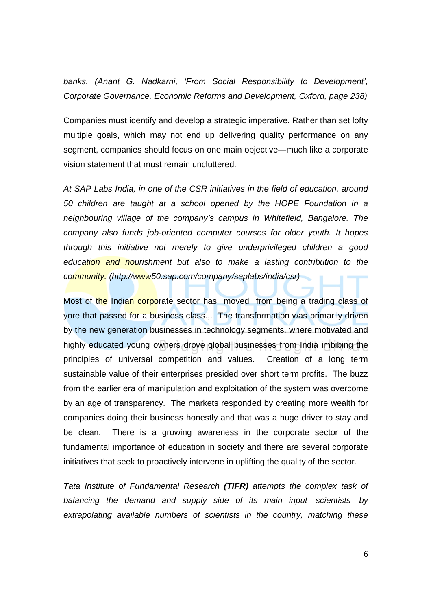banks. (Anant G. Nadkarni, 'From Social Responsibility to Development', Corporate Governance, Economic Reforms and Development, Oxford, page 238)

Companies must identify and develop a strategic imperative. Rather than set lofty multiple goals, which may not end up delivering quality performance on any segment, companies should focus on one main objective—much like a corporate vision statement that must remain uncluttered.

At SAP Labs India, in one of the CSR initiatives in the field of education, around 50 children are taught at a school opened by the HOPE Foundation in a neighbouring village of the company's campus in Whitefield, Bangalore. The company also funds job-oriented computer courses for older youth. It hopes through this initiative not merely to give underprivileged children a good education and nourishment but also to make a lasting contribution to the community. (http://www50.sap.com/company/saplabs/india/csr)

Most of the Indian corporate sector has moved from being a trading class of yore that passed for a business class.,. The transformation was primarily driven by the new generation businesses in technology segments, where motivated and highly educated young owners drove global businesses from India imbibing the principles of universal competition and values. Creation of a long term sustainable value of their enterprises presided over short term profits. The buzz from the earlier era of manipulation and exploitation of the system was overcome by an age of transparency. The markets responded by creating more wealth for companies doing their business honestly and that was a huge driver to stay and be clean. There is a growing awareness in the corporate sector of the fundamental importance of education in society and there are several corporate initiatives that seek to proactively intervene in uplifting the quality of the sector.

Tata Institute of Fundamental Research **(TIFR)** attempts the complex task of balancing the demand and supply side of its main input—scientists—by extrapolating available numbers of scientists in the country, matching these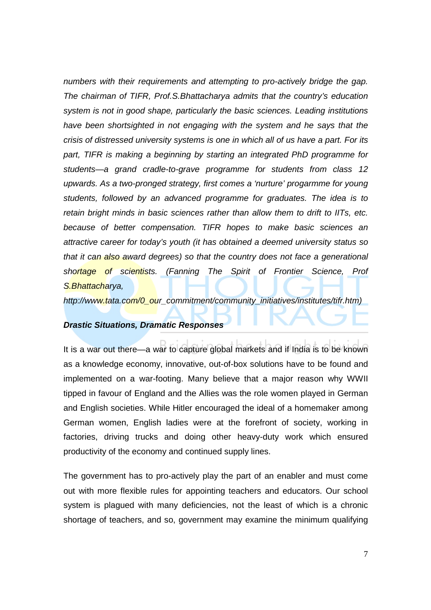numbers with their requirements and attempting to pro-actively bridge the gap. The chairman of TIFR, Prof.S.Bhattacharya admits that the country's education system is not in good shape, particularly the basic sciences. Leading institutions have been shortsighted in not engaging with the system and he says that the crisis of distressed university systems is one in which all of us have a part. For its part, TIFR is making a beginning by starting an integrated PhD programme for students—a grand cradle-to-grave programme for students from class 12 upwards. As a two-pronged strategy, first comes a 'nurture' progarmme for young students, followed by an advanced programme for graduates. The idea is to retain bright minds in basic sciences rather than allow them to drift to IITs, etc. because of better compensation. TIFR hopes to make basic sciences an attractive career for today's youth (it has obtained a deemed university status so that it can also award degrees) so that the country does not face a generational shortage of scientists. (Fanning The Spirit of Frontier Science, Prof S.Bhattacharya,

http://www.tata.com/0\_our\_commitment/community\_initiatives/institutes/tifr.htm)

## **Drastic Situations, Dramatic Responses**

It is a war out there—a war to capture global markets and if India is to be known as a knowledge economy, innovative, out-of-box solutions have to be found and implemented on a war-footing. Many believe that a major reason why WWII tipped in favour of England and the Allies was the role women played in German and English societies. While Hitler encouraged the ideal of a homemaker among German women, English ladies were at the forefront of society, working in factories, driving trucks and doing other heavy-duty work which ensured productivity of the economy and continued supply lines.

The government has to pro-actively play the part of an enabler and must come out with more flexible rules for appointing teachers and educators. Our school system is plagued with many deficiencies, not the least of which is a chronic shortage of teachers, and so, government may examine the minimum qualifying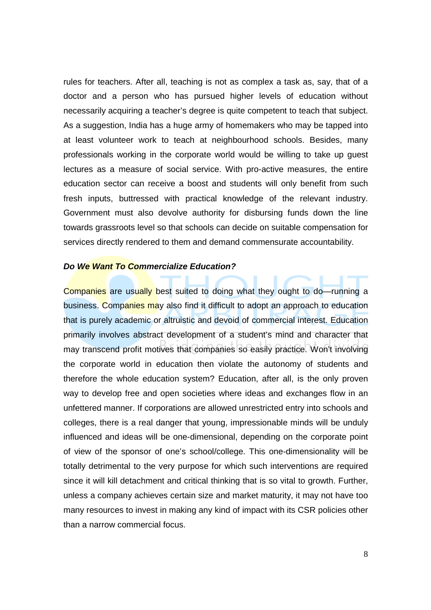rules for teachers. After all, teaching is not as complex a task as, say, that of a doctor and a person who has pursued higher levels of education without necessarily acquiring a teacher's degree is quite competent to teach that subject. As a suggestion, India has a huge army of homemakers who may be tapped into at least volunteer work to teach at neighbourhood schools. Besides, many professionals working in the corporate world would be willing to take up guest lectures as a measure of social service. With pro-active measures, the entire education sector can receive a boost and students will only benefit from such fresh inputs, buttressed with practical knowledge of the relevant industry. Government must also devolve authority for disbursing funds down the line towards grassroots level so that schools can decide on suitable compensation for services directly rendered to them and demand commensurate accountability.

#### **Do We Want To Commercialize Education?**

Companies are usually best suited to doing what they ought to do—running a business. Companies may also find it difficult to adopt an approach to education that is purely academic or altruistic and devoid of commercial interest. Education primarily involves abstract development of a student's mind and character that may transcend profit motives that companies so easily practice. Won't involving the corporate world in education then violate the autonomy of students and therefore the whole education system? Education, after all, is the only proven way to develop free and open societies where ideas and exchanges flow in an unfettered manner. If corporations are allowed unrestricted entry into schools and colleges, there is a real danger that young, impressionable minds will be unduly influenced and ideas will be one-dimensional, depending on the corporate point of view of the sponsor of one's school/college. This one-dimensionality will be totally detrimental to the very purpose for which such interventions are required since it will kill detachment and critical thinking that is so vital to growth. Further, unless a company achieves certain size and market maturity, it may not have too many resources to invest in making any kind of impact with its CSR policies other than a narrow commercial focus.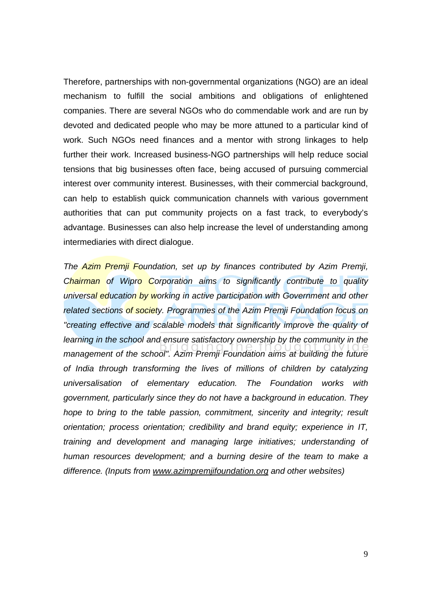Therefore, partnerships with non-governmental organizations (NGO) are an ideal mechanism to fulfill the social ambitions and obligations of enlightened companies. There are several NGOs who do commendable work and are run by devoted and dedicated people who may be more attuned to a particular kind of work. Such NGOs need finances and a mentor with strong linkages to help further their work. Increased business-NGO partnerships will help reduce social tensions that big businesses often face, being accused of pursuing commercial interest over community interest. Businesses, with their commercial background, can help to establish quick communication channels with various government authorities that can put community projects on a fast track, to everybody's advantage. Businesses can also help increase the level of understanding among intermediaries with direct dialogue.

The Azim Premji Foundation, set up by finances contributed by Azim Premji, Chairman of Wipro Corporation aims to significantly contribute to quality universal education by working in active participation with Government and other related sections of society. Programmes of the Azim Premji Foundation focus on "creating effective and scalable models that significantly improve the quality of learning in the school and ensure satisfactory ownership by the community in the management of the school". Azim Premji Foundation aims at building the future of India through transforming the lives of millions of children by catalyzing universalisation of elementary education. The Foundation works with government, particularly since they do not have a background in education. They hope to bring to the table passion, commitment, sincerity and integrity; result orientation; process orientation; credibility and brand equity; experience in IT, training and development and managing large initiatives; understanding of human resources development; and a burning desire of the team to make a difference. (Inputs from www.azimpremjifoundation.org and other websites)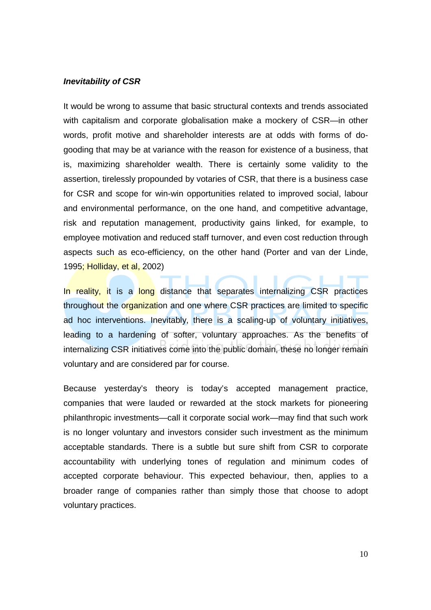#### **Inevitability of CSR**

It would be wrong to assume that basic structural contexts and trends associated with capitalism and corporate globalisation make a mockery of CSR—in other words, profit motive and shareholder interests are at odds with forms of dogooding that may be at variance with the reason for existence of a business, that is, maximizing shareholder wealth. There is certainly some validity to the assertion, tirelessly propounded by votaries of CSR, that there is a business case for CSR and scope for win-win opportunities related to improved social, labour and environmental performance, on the one hand, and competitive advantage, risk and reputation management, productivity gains linked, for example, to employee motivation and reduced staff turnover, and even cost reduction through aspects such as eco-efficiency, on the other hand (Porter and van der Linde, 1995; Holliday, et al, 2002)

In reality, it is a long distance that separates internalizing CSR practices throughout the organization and one where CSR practices are limited to specific ad hoc interventions. Inevitably, there is a scaling-up of voluntary initiatives, leading to a hardening of softer, voluntary approaches. As the benefits of internalizing CSR initiatives come into the public domain, these no longer remain voluntary and are considered par for course.

Because yesterday's theory is today's accepted management practice, companies that were lauded or rewarded at the stock markets for pioneering philanthropic investments—call it corporate social work—may find that such work is no longer voluntary and investors consider such investment as the minimum acceptable standards. There is a subtle but sure shift from CSR to corporate accountability with underlying tones of regulation and minimum codes of accepted corporate behaviour. This expected behaviour, then, applies to a broader range of companies rather than simply those that choose to adopt voluntary practices.